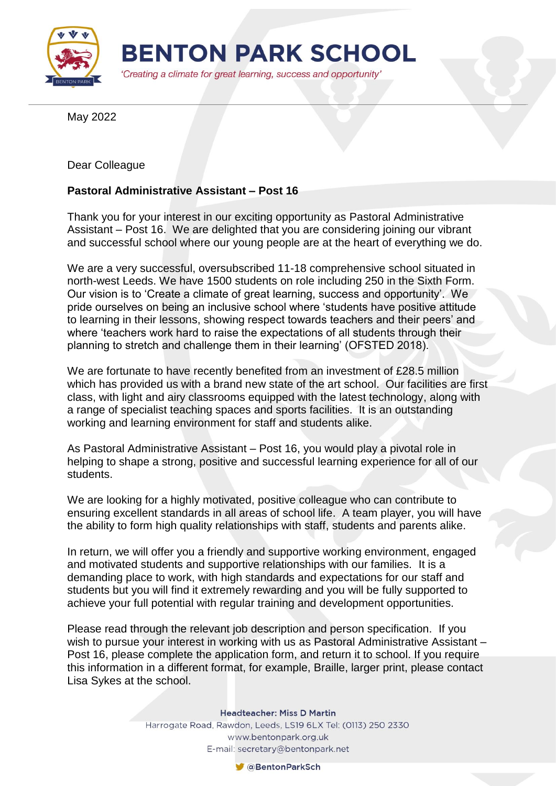

May 2022

Dear Colleague

## **Pastoral Administrative Assistant – Post 16**

Thank you for your interest in our exciting opportunity as Pastoral Administrative Assistant – Post 16. We are delighted that you are considering joining our vibrant and successful school where our young people are at the heart of everything we do.

We are a very successful, oversubscribed 11-18 comprehensive school situated in north-west Leeds. We have 1500 students on role including 250 in the Sixth Form. Our vision is to 'Create a climate of great learning, success and opportunity'. We pride ourselves on being an inclusive school where 'students have positive attitude to learning in their lessons, showing respect towards teachers and their peers' and where 'teachers work hard to raise the expectations of all students through their planning to stretch and challenge them in their learning' (OFSTED 2018).

We are fortunate to have recently benefited from an investment of £28.5 million which has provided us with a brand new state of the art school. Our facilities are first class, with light and airy classrooms equipped with the latest technology, along with a range of specialist teaching spaces and sports facilities. It is an outstanding working and learning environment for staff and students alike.

As Pastoral Administrative Assistant – Post 16, you would play a pivotal role in helping to shape a strong, positive and successful learning experience for all of our students.

We are looking for a highly motivated, positive colleague who can contribute to ensuring excellent standards in all areas of school life. A team player, you will have the ability to form high quality relationships with staff, students and parents alike.

In return, we will offer you a friendly and supportive working environment, engaged and motivated students and supportive relationships with our families. It is a demanding place to work, with high standards and expectations for our staff and students but you will find it extremely rewarding and you will be fully supported to achieve your full potential with regular training and development opportunities.

Please read through the relevant job description and person specification. If you wish to pursue your interest in working with us as Pastoral Administrative Assistant – Post 16, please complete the application form, and return it to school. If you require this information in a different format, for example, Braille, larger print, please contact Lisa Sykes at the school.

**Headteacher: Miss D Martin** 

Harrogate Road, Rawdon, Leeds, LS19 6LX Tel: (0113) 250 2330 www.bentonpark.org.uk E-mail: secretary@bentonpark.net

CaBentonParkSch